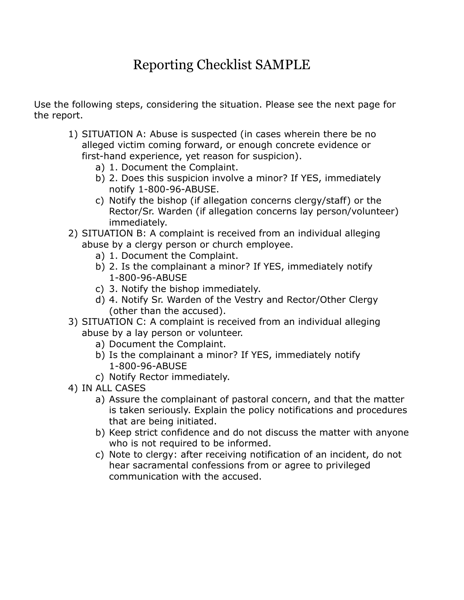## Reporting Checklist SAMPLE

Use the following steps, considering the situation. Please see the next page for the report.

- 1) SITUATION A: Abuse is suspected (in cases wherein there be no alleged victim coming forward, or enough concrete evidence or first-hand experience, yet reason for suspicion).
	- a) 1. Document the Complaint.
	- b) 2. Does this suspicion involve a minor? If YES, immediately notify 1-800-96-ABUSE.
	- c) Notify the bishop (if allegation concerns clergy/staff) or the Rector/Sr. Warden (if allegation concerns lay person/volunteer) immediately.
- 2) SITUATION B: A complaint is received from an individual alleging abuse by a clergy person or church employee.
	- a) 1. Document the Complaint.
	- b) 2. Is the complainant a minor? If YES, immediately notify 1-800-96-ABUSE
	- c) 3. Notify the bishop immediately.
	- d) 4. Notify Sr. Warden of the Vestry and Rector/Other Clergy (other than the accused).
- 3) SITUATION C: A complaint is received from an individual alleging abuse by a lay person or volunteer.
	- a) Document the Complaint.
	- b) Is the complainant a minor? If YES, immediately notify 1-800-96-ABUSE
	- c) Notify Rector immediately.
- 4) IN ALL CASES
	- a) Assure the complainant of pastoral concern, and that the matter is taken seriously. Explain the policy notifications and procedures that are being initiated.
	- b) Keep strict confidence and do not discuss the matter with anyone who is not required to be informed.
	- c) Note to clergy: after receiving notification of an incident, do not hear sacramental confessions from or agree to privileged communication with the accused.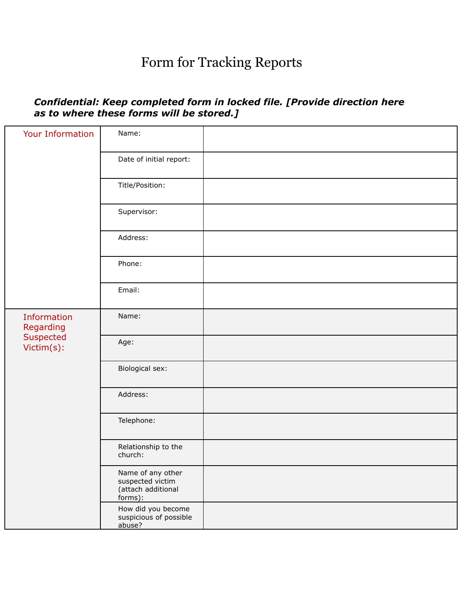## Form for Tracking Reports

## *Confidential: Keep completed form in locked file. [Provide direction here as to where these forms will be stored.]*

| <b>Your Information</b>                             | Name:                                                                  |  |
|-----------------------------------------------------|------------------------------------------------------------------------|--|
|                                                     | Date of initial report:                                                |  |
|                                                     | Title/Position:                                                        |  |
|                                                     | Supervisor:                                                            |  |
|                                                     | Address:                                                               |  |
|                                                     | Phone:                                                                 |  |
|                                                     | Email:                                                                 |  |
| Information<br>Regarding<br>Suspected<br>Victim(s): | Name:                                                                  |  |
|                                                     | Age:                                                                   |  |
|                                                     | Biological sex:                                                        |  |
|                                                     | Address:                                                               |  |
|                                                     | Telephone:                                                             |  |
|                                                     | Relationship to the<br>church:                                         |  |
|                                                     | Name of any other<br>suspected victim<br>(attach additional<br>forms): |  |
|                                                     | How did you become<br>suspicious of possible<br>abuse?                 |  |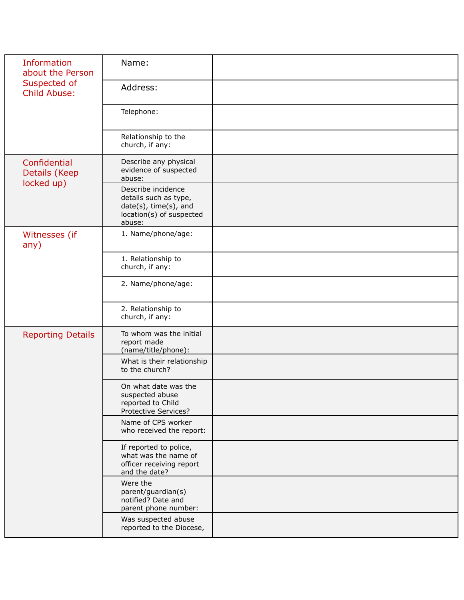| <b>Information</b><br>about the Person<br>Suspected of<br><b>Child Abuse:</b> | Name:                                                                                                      |  |
|-------------------------------------------------------------------------------|------------------------------------------------------------------------------------------------------------|--|
|                                                                               | Address:                                                                                                   |  |
|                                                                               | Telephone:                                                                                                 |  |
|                                                                               | Relationship to the<br>church, if any:                                                                     |  |
| Confidential<br>Details (Keep<br>locked up)                                   | Describe any physical<br>evidence of suspected<br>abuse:                                                   |  |
|                                                                               | Describe incidence<br>details such as type,<br>date(s), time(s), and<br>location(s) of suspected<br>abuse: |  |
| Witnesses (if<br>any)                                                         | 1. Name/phone/age:                                                                                         |  |
|                                                                               | 1. Relationship to<br>church, if any:                                                                      |  |
|                                                                               | 2. Name/phone/age:                                                                                         |  |
|                                                                               | 2. Relationship to<br>church, if any:                                                                      |  |
| <b>Reporting Details</b>                                                      | To whom was the initial<br>report made<br>(name/title/phone):                                              |  |
|                                                                               | What is their relationship<br>to the church?                                                               |  |
|                                                                               | On what date was the<br>suspected abuse<br>reported to Child<br>Protective Services?                       |  |
|                                                                               | Name of CPS worker<br>who received the report:                                                             |  |
|                                                                               | If reported to police,<br>what was the name of<br>officer receiving report<br>and the date?                |  |
|                                                                               | Were the<br>parent/guardian(s)<br>notified? Date and<br>parent phone number:                               |  |
|                                                                               | Was suspected abuse<br>reported to the Diocese,                                                            |  |